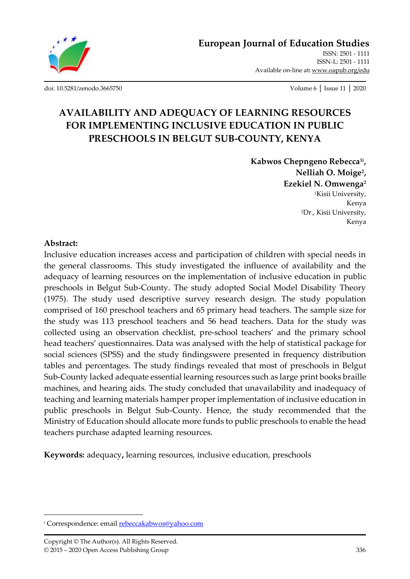

[ISSN-L: 2501 -](http://oapub.org/edu/index.php/ejes) 1111 Available on-line at**:** [www.oapub.org/edu](http://www.oapub.org/edu)

[doi: 10.5281/zenodo.3665750](http://dx.doi.org/10.5281/zenodo.3665750) Volume 6 │ Issue 11 │ 2020

# **AVAILABILITY AND ADEQUACY OF LEARNING RESOURCES FOR IMPLEMENTING INCLUSIVE EDUCATION IN PUBLIC PRESCHOOLS IN BELGUT SUB-COUNTY, KENYA**

**Kabwos Chepngeno Rebecca1i , Nelliah O. Moige<sup>2</sup> , Ezekiel N. Omwenga<sup>2</sup>** <sup>1</sup>Kisii University, Kenya <sup>2</sup>Dr., Kisii University, Kenya

#### **Abstract:**

Inclusive education increases access and participation of children with special needs in the general classrooms. This study investigated the influence of availability and the adequacy of learning resources on the implementation of inclusive education in public preschools in Belgut Sub-County. The study adopted Social Model Disability Theory (1975). The study used descriptive survey research design. The study population comprised of 160 preschool teachers and 65 primary head teachers. The sample size for the study was 113 preschool teachers and 56 head teachers. Data for the study was collected using an observation checklist, pre-school teachers' and the primary school head teachers' questionnaires. Data was analysed with the help of statistical package for social sciences (SPSS) and the study findingswere presented in frequency distribution tables and percentages. The study findings revealed that most of preschools in Belgut Sub-County lacked adequate essential learning resources such as large print books braille machines, and hearing aids. The study concluded that unavailability and inadequacy of teaching and learning materials hamper proper implementation of inclusive education in public preschools in Belgut Sub-County. Hence, the study recommended that the Ministry of Education should allocate more funds to public preschools to enable the head teachers purchase adapted learning resources.

**Keywords:** adequacy**,** learning resources, inclusive education, preschools

<sup>&</sup>lt;sup>i</sup> Correspondence: email **rebeccakabwos@yahoo.com**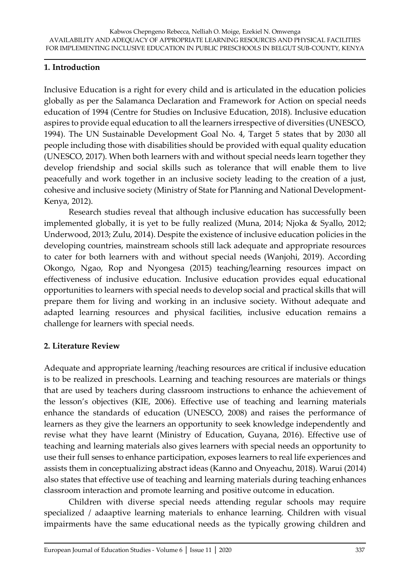## **1. Introduction**

Inclusive Education is a right for every child and is articulated in the education policies globally as per the Salamanca Declaration and Framework for Action on special needs education of 1994 (Centre for Studies on Inclusive Education, 2018). Inclusive education aspires to provide equal education to all the learners irrespective of diversities (UNESCO, 1994). The UN Sustainable Development Goal No. 4, Target 5 states that by 2030 all people including those with disabilities should be provided with equal quality education (UNESCO, 2017). When both learners with and without special needs learn together they develop friendship and social skills such as tolerance that will enable them to live peacefully and work together in an inclusive society leading to the creation of a just, cohesive and inclusive society (Ministry of State for Planning and National Development-Kenya, 2012).

Research studies reveal that although inclusive education has successfully been implemented globally, it is yet to be fully realized (Muna, 2014; Njoka & Syallo, 2012; Underwood, 2013; Zulu, 2014). Despite the existence of inclusive education policies in the developing countries, mainstream schools still lack adequate and appropriate resources to cater for both learners with and without special needs (Wanjohi, 2019). According Okongo, Ngao, Rop and Nyongesa (2015) teaching/learning resources impact on effectiveness of inclusive education. Inclusive education provides equal educational opportunities to learners with special needs to develop social and practical skills that will prepare them for living and working in an inclusive society. Without adequate and adapted learning resources and physical facilities, inclusive education remains a challenge for learners with special needs.

## **2. Literature Review**

Adequate and appropriate learning /teaching resources are critical if inclusive education is to be realized in preschools. Learning and teaching resources are materials or things that are used by teachers during classroom instructions to enhance the achievement of the lesson's objectives (KIE, 2006). Effective use of teaching and learning materials enhance the standards of education (UNESCO, 2008) and raises the performance of learners as they give the learners an opportunity to seek knowledge independently and revise what they have learnt (Ministry of Education, Guyana, 2016). Effective use of teaching and learning materials also gives learners with special needs an opportunity to use their full senses to enhance participation, exposes learners to real life experiences and assists them in conceptualizing abstract ideas (Kanno and Onyeachu, 2018). Warui (2014) also states that effective use of teaching and learning materials during teaching enhances classroom interaction and promote learning and positive outcome in education.

Children with diverse special needs attending regular schools may require specialized / adaaptive learning materials to enhance learning. Children with visual impairments have the same educational needs as the typically growing children and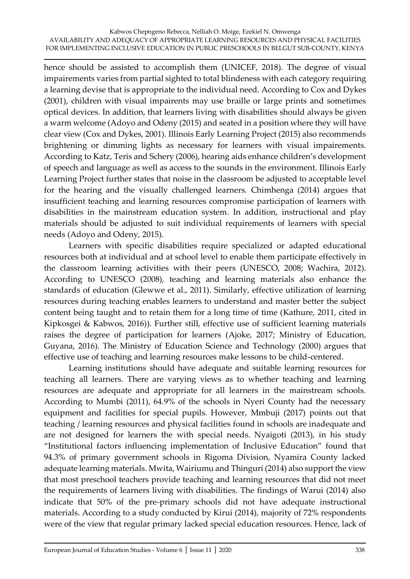hence should be assisted to accomplish them (UNICEF, 2018). The degree of visual impairements varies from partial sighted to total blindeness with each category requiring a learning devise that is appropriate to the individual need. According to Cox and Dykes (2001), children with visual impairents may use braille or large prints and sometimes optical devices. In addition, that learners living with disabilities should always be given a warm welcome (Adoyo and Odeny (2015) and seated in a position where they will have clear view (Cox and Dykes, 2001). Illinois Early Learning Project (2015) also recommends brightening or dimming lights as necessary for learners with visual impairements. According to Katz, Teris and Schery (2006), hearing aids enhance children's development of speech and language as well as access to the sounds in the environment. Illinois Early Learning Project further states that noise in the classroom be adjusted to acceptable level for the hearing and the visually challenged learners. Chimhenga (2014) argues that insufficient teaching and learning resources compromise participation of learners with disabilities in the mainstream education system. In addition, instructional and play materials should be adjusted to suit individual requirements of learners with special needs (Adoyo and Odeny, 2015).

Learners with specific disabilities require specialized or adapted educational resources both at individual and at school level to enable them participate effectively in the classroom learning activities with their peers (UNESCO, 2008; Wachira, 2012). According to UNESCO (2008), teaching and learning materials also enhance the standards of education (Glewwe et al., 2011). Similarly, effective utilization of learning resources during teaching enables learners to understand and master better the subject content being taught and to retain them for a long time of time (Kathure, 2011, cited in Kipkosgei & Kabwos, 2016)). Further still, effective use of sufficient learning materials raises the degree of participation for learners (Ajoke, 2017; Ministry of Education, Guyana, 2016). The Ministry of Education Science and Technology (2000) argues that effective use of teaching and learning resources make lessons to be child-centered.

Learning institutions should have adequate and suitable learning resources for teaching all learners. There are varying views as to whether teaching and learning resources are adequate and appropriate for all learners in the mainstream schools. According to Mumbi (2011), 64.9% of the schools in Nyeri County had the necessary equipment and facilities for special pupils. However, Mmbuji (2017) points out that teaching / learning resources and physical facilities found in schools are inadequate and are not designed for learners the with special needs. Nyaigoti (2013), in his study "Institutional factors influencing implementation of Inclusive Education" found that 94.3% of primary government schools in Rigoma Division, Nyamira County lacked adequate learning materials. Mwita, Wairiumu and Thinguri (2014) also support the view that most preschool teachers provide teaching and learning resources that did not meet the requirements of learners living with disabilities. The findings of Warui (2014) also indicate that 50% of the pre-primary schools did not have adequate instructional materials. According to a study conducted by Kirui (2014), majority of 72% respondents were of the view that regular primary lacked special education resources. Hence, lack of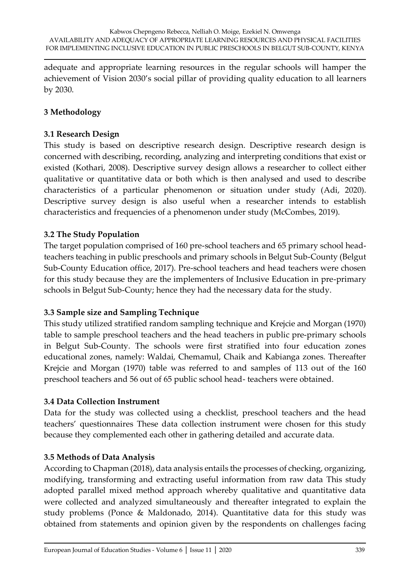adequate and appropriate learning resources in the regular schools will hamper the achievement of Vision 2030's social pillar of providing quality education to all learners by 2030.

# **3 Methodology**

## **3.1 Research Design**

This study is based on descriptive research design. Descriptive research design is concerned with describing, recording, analyzing and interpreting conditions that exist or existed (Kothari, 2008). Descriptive survey design allows a researcher to collect either qualitative or quantitative data or both which is then analysed and used to describe characteristics of a particular phenomenon or situation under study (Adi, 2020). Descriptive survey design is also useful when a researcher intends to establish characteristics and frequencies of a phenomenon under study (McCombes, 2019).

## **3.2 The Study Population**

The target population comprised of 160 pre-school teachers and 65 primary school headteachers teaching in public preschools and primary schools in Belgut Sub-County (Belgut Sub-County Education office, 2017). Pre-school teachers and head teachers were chosen for this study because they are the implementers of Inclusive Education in pre-primary schools in Belgut Sub-County; hence they had the necessary data for the study.

## **3.3 Sample size and Sampling Technique**

This study utilized stratified random sampling technique and Krejcie and Morgan (1970) table to sample preschool teachers and the head teachers in public pre-primary schools in Belgut Sub-County. The schools were first stratified into four education zones educational zones, namely: Waldai, Chemamul, Chaik and Kabianga zones. Thereafter Krejcie and Morgan (1970) table was referred to and samples of 113 out of the 160 preschool teachers and 56 out of 65 public school head- teachers were obtained.

#### **3.4 Data Collection Instrument**

Data for the study was collected using a checklist, preschool teachers and the head teachers' questionnaires These data collection instrument were chosen for this study because they complemented each other in gathering detailed and accurate data.

## **3.5 Methods of Data Analysis**

According to Chapman (2018), data analysis entails the processes of checking, organizing, modifying, transforming and extracting useful information from raw data This study adopted parallel mixed method approach whereby qualitative and quantitative data were collected and analyzed simultaneously and thereafter integrated to explain the study problems (Ponce & Maldonado, 2014). Quantitative data for this study was obtained from statements and opinion given by the respondents on challenges facing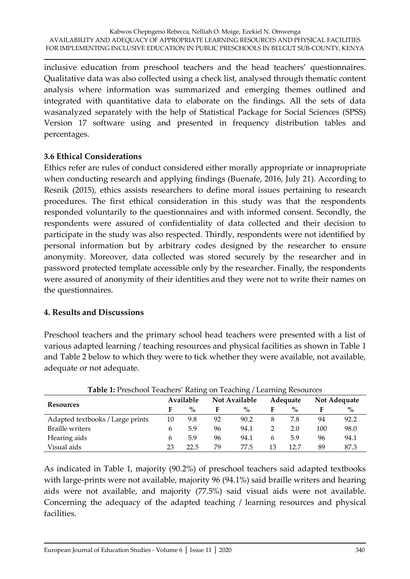inclusive education from preschool teachers and the head teachers' questionnaires. Qualitative data was also collected using a check list, analysed through thematic content analysis where information was summarized and emerging themes outlined and integrated with quantitative data to elaborate on the findings. All the sets of data wasanalyzed separately with the help of Statistical Package for Social Sciences (SPSS) Version 17 software using and presented in frequency distribution tables and percentages.

#### **3.6 Ethical Considerations**

Ethics refer are rules of conduct considered either morally appropriate or innapropriate when conducting research and applying findings (Buenafe, 2016, July 21). According to Resnik (2015), ethics assists researchers to define moral issues pertaining to research procedures. The first ethical consideration in this study was that the respondents responded voluntarily to the questionnaires and with informed consent. Secondly, the respondents were assured of confidentiality of data collected and their decision to participate in the study was also respected. Thirdly, respondents were not identified by personal information but by arbitrary codes designed by the researcher to ensure anonymity. Moreover, data collected was stored securely by the researcher and in password protected template accessible only by the researcher. Finally, the respondents were assured of anonymity of their identities and they were not to write their names on the questionnaires.

## **4. Results and Discussions**

Preschool teachers and the primary school head teachers were presented with a list of various adapted learning / teaching resources and physical facilities as shown in Table 1 and Table 2 below to which they were to tick whether they were available, not available, adequate or not adequate.

| <b>Table 1:</b> Prescribol Teachers Raung on Teaching / Learning Resources |           |      |               |      |          |      |              |      |  |
|----------------------------------------------------------------------------|-----------|------|---------------|------|----------|------|--------------|------|--|
| Resources                                                                  | Available |      | Not Available |      | Adequate |      | Not Adequate |      |  |
|                                                                            |           | $\%$ | F             | $\%$ |          | $\%$ |              | $\%$ |  |
| Adapted textbooks / Large prints                                           | 10        | 9.8  | 92            | 90.2 |          | 7.8  | 94           | 92.2 |  |
| <b>Braille writers</b>                                                     | b         | 5.9  | 96            | 94.1 |          | 2.0  | 100          | 98.0 |  |
| Hearing aids                                                               | 6         | 5.9  | 96            | 94.1 | 6        | 5.9  | 96           | 94.1 |  |
| Visual aids                                                                | 23        | 22.5 | 79            | 77.5 | 13       | 12.7 | 89           | 87.3 |  |

**Table 1:** Preschool Teachers' Rating on Teaching / Learning Resources

As indicated in Table 1, majority (90.2%) of preschool teachers said adapted textbooks with large-prints were not available, majority 96 (94.1%) said braille writers and hearing aids were not available, and majority (77.5%) said visual aids were not available. Concerning the adequacy of the adapted teaching / learning resources and physical facilities.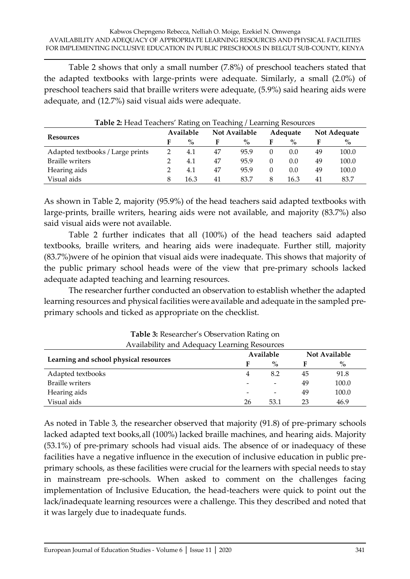Table 2 shows that only a small number (7.8%) of preschool teachers stated that the adapted textbooks with large-prints were adequate. Similarly, a small (2.0%) of preschool teachers said that braille writers were adequate, (5.9%) said hearing aids were adequate, and (12.7%) said visual aids were adequate.

| <b>Resources</b>                 | Available |      | <b>Not Available</b> |      | Adequate |      | Not Adequate |       |
|----------------------------------|-----------|------|----------------------|------|----------|------|--------------|-------|
|                                  |           | $\%$ |                      | $\%$ |          | $\%$ |              | $\%$  |
| Adapted textbooks / Large prints |           | 4.1  | 47                   | 95.9 |          | 0.0  | 49           | 100.0 |
| <b>Braille writers</b>           |           | 4.1  | 47                   | 95.9 |          | 0.0  | 49           | 100.0 |
| Hearing aids                     |           | 4.1  | 47                   | 95.9 |          | 0.0  | 49           | 100.0 |
| Visual aids                      | 8         | 16.3 | 41                   | 83.7 | 8        | 16.3 | 41           | 83.7  |

#### **Table 2:** Head Teachers' Rating on Teaching / Learning Resources

As shown in Table 2, majority (95.9%) of the head teachers said adapted textbooks with large-prints, braille writers, hearing aids were not available, and majority (83.7%) also said visual aids were not available.

Table 2 further indicates that all (100%) of the head teachers said adapted textbooks, braille writers, and hearing aids were inadequate. Further still, majority (83.7%)were of he opinion that visual aids were inadequate. This shows that majority of the public primary school heads were of the view that pre-primary schools lacked adequate adapted teaching and learning resources.

The researcher further conducted an observation to establish whether the adapted learning resources and physical facilities were available and adequate in the sampled preprimary schools and ticked as appropriate on the checklist.

| Availability and Adequacy Learning Resources<br>Available<br><b>Not Available</b> |    |                          |    |       |  |  |
|-----------------------------------------------------------------------------------|----|--------------------------|----|-------|--|--|
| Learning and school physical resources                                            |    | $\%$                     |    | $\%$  |  |  |
| Adapted textbooks                                                                 |    | 8.2                      | 45 | 91.8  |  |  |
| <b>Braille writers</b>                                                            |    | $\overline{\phantom{a}}$ | 49 | 100.0 |  |  |
| Hearing aids                                                                      |    | $\overline{\phantom{a}}$ | 49 | 100.0 |  |  |
| Visual aids                                                                       | 26 | 53.1                     | 23 | 46.9  |  |  |

**Table 3:** Researcher's Observation Rating on

As noted in Table 3, the researcher observed that majority (91.8) of pre-primary schools lacked adapted text books,all (100%) lacked braille machines, and hearing aids. Majority (53.1%) of pre-primary schools had visual aids. The absence of or inadequacy of these facilities have a negative influence in the execution of inclusive education in public preprimary schools, as these facilities were crucial for the learners with special needs to stay in mainstream pre-schools. When asked to comment on the challenges facing implementation of Inclusive Education, the head-teachers were quick to point out the lack/inadequate learning resources were a challenge. This they described and noted that it was largely due to inadequate funds.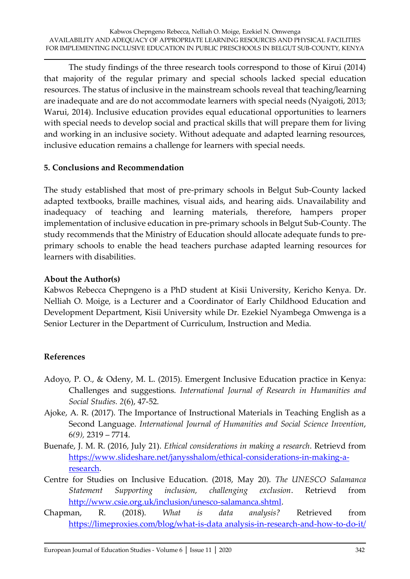The study findings of the three research tools correspond to those of Kirui (2014) that majority of the regular primary and special schools lacked special education resources. The status of inclusive in the mainstream schools reveal that teaching/learning are inadequate and are do not accommodate learners with special needs (Nyaigoti, 2013; Warui, 2014). Inclusive education provides equal educational opportunities to learners with special needs to develop social and practical skills that will prepare them for living and working in an inclusive society. Without adequate and adapted learning resources, inclusive education remains a challenge for learners with special needs.

## **5. Conclusions and Recommendation**

The study established that most of pre-primary schools in Belgut Sub-County lacked adapted textbooks, braille machines, visual aids, and hearing aids. Unavailability and inadequacy of teaching and learning materials, therefore, hampers proper implementation of inclusive education in pre-primary schools in Belgut Sub-County. The study recommends that the Ministry of Education should allocate adequate funds to preprimary schools to enable the head teachers purchase adapted learning resources for learners with disabilities.

#### **About the Author(s)**

Kabwos Rebecca Chepngeno is a PhD student at Kisii University, Kericho Kenya. Dr. Nelliah O. Moige, is a Lecturer and a Coordinator of Early Childhood Education and Development Department, Kisii University while Dr. Ezekiel Nyambega Omwenga is a Senior Lecturer in the Department of Curriculum, Instruction and Media.

#### **References**

- Adoyo, P. O., & Odeny, M. L. (2015). Emergent Inclusive Education practice in Kenya: Challenges and suggestions. *International Journal of Research in Humanities and Social Studies. 2*(6), 47-52.
- Ajoke, A. R. (2017). The Importance of Instructional Materials in Teaching English as a Second Language. *International Journal of Humanities and Social Science Invention*, 6*(9),* 2319 – 7714.
- Buenafe, J. M. R. (2016, July 21). *Ethical considerations in making a research*. Retrievd from [https://www.slideshare.net/janysshalom/ethical-considerations-in-making-a](https://www.slideshare.net/janysshalom/ethical-considerations-in-making-a-research)[research.](https://www.slideshare.net/janysshalom/ethical-considerations-in-making-a-research)
- Centre for Studies on Inclusive Education. (2018, May 20). *The UNESCO Salamanca Statement Supporting inclusion, challenging exclusion*. Retrievd from [http://www.csie.org.uk/inclusion/unesco-salamanca.shtml.](http://www.csie.org.uk/inclusion/unesco-salamanca.shtml)
- Chapman, R. (2018). *What is data analysis?* Retrieved from [https://limeproxies.com/blog/what-is-data](https://limeproxies.com/blog/what-is-data%20analysis-in-research-and-how-to-do-it/) analysis-in-research-and-how-to-do-it/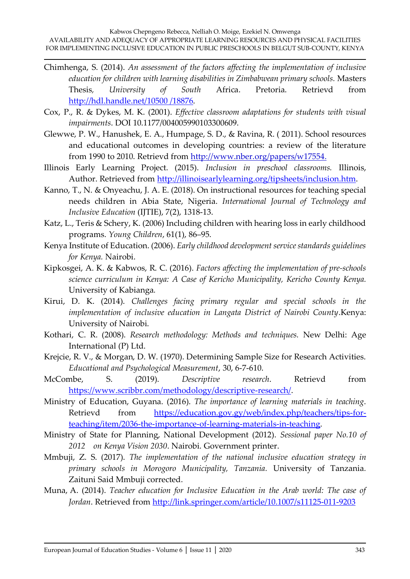- Chimhenga, S. (2014). *An assessment of the factors affecting the implementation of inclusive education for children with learning disabilities in Zimbabwean primary schools.* Masters Thesis*, University of South* Africa. Pretoria. Retrievd from [http://hdl.handle.net/10500](http://hdl.handle.net/10500%20/18876) /18876.
- Cox, P., R. & Dykes, M. K. (2001). *Effective classroom adaptations for students with visual impairments*. DOI 10.1177/004005990103300609.
- Glewwe, P. W., Hanushek, E. A., Humpage, S. D., & Ravina, R. ( 2011). School resources and educational outcomes in developing countries: a review of the literature from 1990 to 2010. Retrievd from [http://www.nber.org/papers/w17554.](http://www.nber.org/papers/w17554)
- Illinois Early Learning Project. (2015). *Inclusion in preschool classrooms.* Illinois, Author. Retrieved from [http://illinoisearlylearning.org/tipsheets/inclusion.htm.](http://illinoisearlylearning.org/tipsheets/inclusion.htm)
- Kanno, T., N. & Onyeachu, J. A. E. (2018). On instructional resources for teaching special needs children in Abia State, Nigeria. *International Journal of Technology and Inclusive Education* (IJTIE), 7(2), 1318-13.
- Katz, L., Teris & Schery, K. (2006) Including children with hearing loss in early childhood programs. *Young Children*, 61(1), 86–95.
- Kenya Institute of Education. (2006). *Early childhood development service standards guidelines for Kenya.* Nairobi.
- Kipkosgei, A. K. & Kabwos, R. C. (2016). *Factors affecting the implementation of pre-schools science curriculum in Kenya: A Case of Kericho Municipality, Kericho County Kenya.*  University of Kabianga*.*
- Kirui, D. K. (2014). *Challenges facing primary regular and special schools in the implementation of inclusive education in Langata District of Nairobi County*.Kenya: University of Nairobi.
- Kothari, C. R. (2008). *Research methodology: Methods and techniques.* New Delhi: Age International (P) Ltd.
- Krejcie, R. V., & Morgan, D. W. (1970). Determining Sample Size for Research Activities. *Educational and Psychological Measurement*, 30, 6-7-610.
- McCombe, S. (2019). *Descriptive research*. Retrievd from [https://www.scribbr.com/methodology/descriptive-research/.](https://www.scribbr.com/methodology/descriptive-research/)
- Ministry of Education, Guyana. (2016). *The importance of learning materials in teaching*. Retrievd from [https://education.gov.gy/web/index.php/teachers/tips-for](https://education.gov.gy/web/index.php/teachers/tips-for-teaching/item/2036-the-importance-of-learning-materials-in-teaching)[teaching/item/2036-the-importance-of-learning-materials-in-teaching.](https://education.gov.gy/web/index.php/teachers/tips-for-teaching/item/2036-the-importance-of-learning-materials-in-teaching)
- Ministry of State for Planning, National Development (2012). *Sessional paper No.10 of 2012 on Kenya Vision 2030*. Nairobi. Government printer.
- Mmbuji, Z. S. (2017). *The implementation of the national inclusive education strategy in primary schools in Morogoro Municipality, Tanzania.* University of Tanzania*.*  Zaituni Said Mmbuji corrected.
- Muna, A. (2014). *Teacher education for Inclusive Education in the Arab world: The case of Jordan*. Retrieved from<http://link.springer.com/article/10.1007/s11125-011-9203>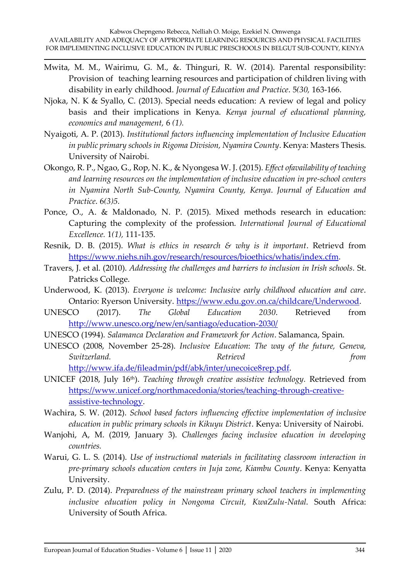- Mwita, M. M., Wairimu, G. M., &. Thinguri, R. W. (2014). Parental responsibility: Provision of teaching learning resources and participation of children living with disability in early childhood. *Journal of Education and Practice*. 5*(30,* 163-166.
- Njoka, N. K & Syallo, C. (2013). Special needs education: A review of legal and policy basis and their implications in Kenya. *Kenya journal of educational planning, economics and management,* 6 *(1).*
- Nyaigoti, A. P. (2013). *Institutional factors influencing implementation of Inclusive Education in public primary schools in Rigoma Division, Nyamira County*. Kenya: Masters Thesis. University of Nairobi.
- Okongo, R. P., Ngao, G., Rop, N. K., & Nyongesa W. J. (2015). *Effect ofavailability of teaching and learning resources on the implementation of inclusive education in pre-school centers in Nyamira North Sub-County, Nyamira County, Kenya*. *Journal of Education and Practice*. 6*(3)5.*
- Ponce, O., A. & Maldonado, N. P. (2015). Mixed methods research in education: Capturing the complexity of the profession. *International Journal of Educational Excellence.* 1*(1),* 111-135.
- Resnik, D. B. (2015). *What is ethics in research & why is it important*. Retrievd from [https://www.niehs.nih.gov/research/resources/bioethics/whatis/index.cfm.](https://www.niehs.nih.gov/research/resources/bioethics/whatis/index.cfm)
- Travers, J. et al. (2010). *Addressing the challenges and barriers to inclusion in Irish schools.* St. Patricks College.
- Underwood, K. (2013). *Everyone is welcome: Inclusive early childhood education and care*. Ontario: Ryerson University. [https://www.edu.gov.on.ca/childcare/Underwood.](https://www.edu.gov.on.ca/childcare/Underwood)
- UNESCO (2017). *The Global Education 2030*. Retrieved from <http://www.unesco.org/new/en/santiago/education-2030/>
- UNESCO (1994). *Salamanca Declaration and Framework for Action*. Salamanca, Spain.
- UNESCO (2008, November 25-28). *Inclusive Education*: *The way of the future, Geneva, Switzerland. Retrievd from*  [http://www.ifa.de/fileadmin/pdf/abk/inter/unecoice8rep.pdf.](http://www.ifa.de/fileadmin/pdf/abk/inter/unecoice8rep.pdf)
- UNICEF (2018, July 16th). *Teaching through creative assistive technology.* Retrieved from [https://www.unicef.org/northmacedonia/stories/teaching-through-creative](https://www.unicef.org/northmacedonia/stories/teaching-through-creative-assistive-technology)[assistive-technology.](https://www.unicef.org/northmacedonia/stories/teaching-through-creative-assistive-technology)
- Wachira, S. W. (2012). *School based factors influencing effective implementation of inclusive education in public primary schools in Kikuyu District*. Kenya: University of Nairobi.
- Wanjohi, A, M. [\(2019,](https://www.schoolsnetkenya.com/challenges-facing-inclusive-education-in-developing-countries/) January 3). *Challenges facing inclusive education in developing countries.*
- Warui, G. L. S. (2014). *Use of instructional materials in facilitating classroom interaction in pre-primary schools education centers in Juja zone, Kiambu County*. Kenya: Kenyatta University.
- Zulu, P. D. (2014). *Preparedness of the mainstream primary school teachers in implementing inclusive education policy in Nongoma Circuit, KwaZulu-Natal*. South Africa: University of South Africa.